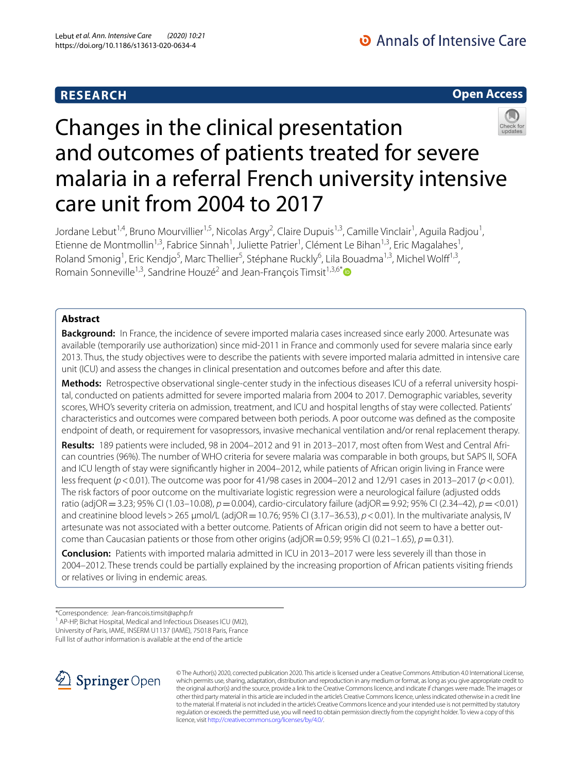# **RESEARCH**

# **Open Access**



# Changes in the clinical presentation and outcomes of patients treated for severe malaria in a referral French university intensive care unit from 2004 to 2017

Jordane Lebut<sup>1,4</sup>, Bruno Mourvillier<sup>1,5</sup>, Nicolas Argy<sup>2</sup>, Claire Dupuis<sup>1,3</sup>, Camille Vinclair<sup>1</sup>, Aguila Radjou<sup>1</sup>, Etienne de Montmollin<sup>1,3</sup>, Fabrice Sinnah<sup>1</sup>, Juliette Patrier<sup>1</sup>, Clément Le Bihan<sup>1,3</sup>, Eric Magalahes<sup>1</sup>, Roland Smonig<sup>1</sup>, Eric Kendjo<sup>5</sup>, Marc Thellier<sup>5</sup>, Stéphane Ruckly<sup>6</sup>, Lila Bouadma<sup>1,3</sup>, Michel Wolff<sup>1,3</sup>, Romain Sonneville<sup>1,3</sup>, Sandrine Houzé<sup>2</sup> and Jean-François Timsit<sup>1,3,6[\\*](http://orcid.org/0000-0002-6063-7383)</sup>

# **Abstract**

**Background:** In France, the incidence of severe imported malaria cases increased since early 2000. Artesunate was available (temporarily use authorization) since mid-2011 in France and commonly used for severe malaria since early 2013. Thus, the study objectives were to describe the patients with severe imported malaria admitted in intensive care unit (ICU) and assess the changes in clinical presentation and outcomes before and after this date.

**Methods:** Retrospective observational single-center study in the infectious diseases ICU of a referral university hospital, conducted on patients admitted for severe imported malaria from 2004 to 2017. Demographic variables, severity scores, WHO's severity criteria on admission, treatment, and ICU and hospital lengths of stay were collected. Patients' characteristics and outcomes were compared between both periods. A poor outcome was defned as the composite endpoint of death, or requirement for vasopressors, invasive mechanical ventilation and/or renal replacement therapy.

**Results:** 189 patients were included, 98 in 2004–2012 and 91 in 2013–2017, most often from West and Central Afri‑ can countries (96%). The number of WHO criteria for severe malaria was comparable in both groups, but SAPS II, SOFA and ICU length of stay were signifcantly higher in 2004–2012, while patients of African origin living in France were less frequent (*p*<0.01). The outcome was poor for 41/98 cases in 2004–2012 and 12/91 cases in 2013–2017 (*p*<0.01). The risk factors of poor outcome on the multivariate logistic regression were a neurological failure (adjusted odds ratio (adjOR=3.23; 95% CI (1.03–10.08), *p*=0.004), cardio-circulatory failure (adjOR=9.92; 95% CI (2.34–42), *p*=<0.01) and creatinine blood levels > 265 µmol/L (adjOR = 10.76; 95% CI (3.17–36.53), *p* < 0.01). In the multivariate analysis, IV artesunate was not associated with a better outcome. Patients of African origin did not seem to have a better outcome than Caucasian patients or those from other origins (adjOR =  $0.59$ ; 95% CI (0.21–1.65),  $p = 0.31$ ).

**Conclusion:** Patients with imported malaria admitted in ICU in 2013–2017 were less severely ill than those in 2004–2012. These trends could be partially explained by the increasing proportion of African patients visiting friends or relatives or living in endemic areas.

\*Correspondence: Jean‑francois.timsit@aphp.fr

<sup>1</sup> AP-HP, Bichat Hospital, Medical and Infectious Diseases ICU (MI2), University of Paris, IAME, INSERM U1137 (IAME), 75018 Paris, France Full list of author information is available at the end of the article



© The Author(s) 2020, corrected publication 2020. This article is licensed under a Creative Commons Attribution 4.0 International License, which permits use, sharing, adaptation, distribution and reproduction in any medium or format, as long as you give appropriate credit to the original author(s) and the source, provide a link to the Creative Commons licence, and indicate if changes were made. The images or other third party material in this article are included in the article's Creative Commons licence, unless indicated otherwise in a credit line to the material. If material is not included in the article's Creative Commons licence and your intended use is not permitted by statutory regulation or exceeds the permitted use, you will need to obtain permission directly from the copyright holder. To view a copy of this licence, visit [http://creativecommons.org/licenses/by/4.0/.](http://creativecommons.org/licenses/by/4.0/)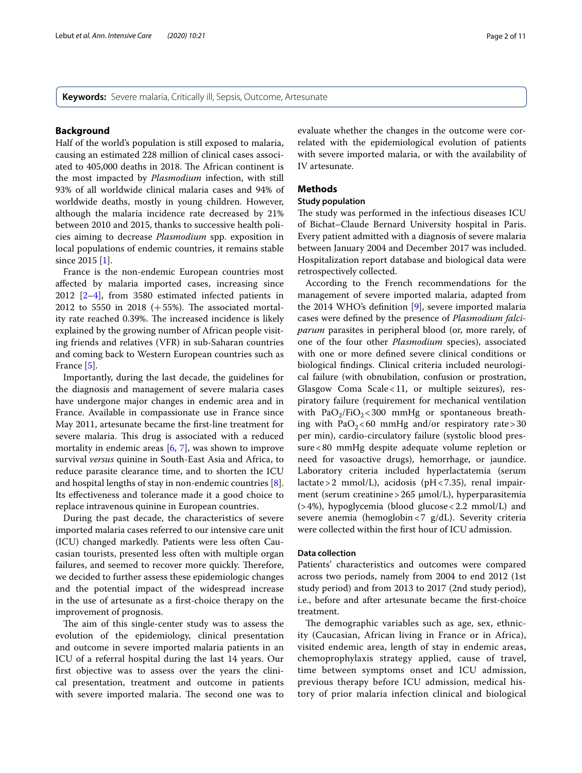**Keywords:** Severe malaria, Critically ill, Sepsis, Outcome, Artesunate

## **Background**

Half of the world's population is still exposed to malaria, causing an estimated 228 million of clinical cases associated to 405,000 deaths in 2018. The African continent is the most impacted by *Plasmodium* infection, with still 93% of all worldwide clinical malaria cases and 94% of worldwide deaths, mostly in young children. However, although the malaria incidence rate decreased by 21% between 2010 and 2015, thanks to successive health policies aiming to decrease *Plasmodium* spp. exposition in local populations of endemic countries, it remains stable since 2015 [[1\]](#page-9-0).

France is the non-endemic European countries most afected by malaria imported cases, increasing since 2012 [[2–](#page-9-1)[4\]](#page-9-2), from 3580 estimated infected patients in 2012 to 5550 in 2018  $(+55%)$ . The associated mortality rate reached 0.39%. The increased incidence is likely explained by the growing number of African people visiting friends and relatives (VFR) in sub-Saharan countries and coming back to Western European countries such as France [[5\]](#page-9-3).

Importantly, during the last decade, the guidelines for the diagnosis and management of severe malaria cases have undergone major changes in endemic area and in France. Available in compassionate use in France since May 2011, artesunate became the frst-line treatment for severe malaria. This drug is associated with a reduced mortality in endemic areas  $[6, 7]$  $[6, 7]$  $[6, 7]$  $[6, 7]$ , was shown to improve survival *versus* quinine in South-East Asia and Africa, to reduce parasite clearance time, and to shorten the ICU and hospital lengths of stay in non-endemic countries [\[8](#page-9-6)]. Its efectiveness and tolerance made it a good choice to replace intravenous quinine in European countries.

During the past decade, the characteristics of severe imported malaria cases referred to our intensive care unit (ICU) changed markedly. Patients were less often Caucasian tourists, presented less often with multiple organ failures, and seemed to recover more quickly. Therefore, we decided to further assess these epidemiologic changes and the potential impact of the widespread increase in the use of artesunate as a frst-choice therapy on the improvement of prognosis.

The aim of this single-center study was to assess the evolution of the epidemiology, clinical presentation and outcome in severe imported malaria patients in an ICU of a referral hospital during the last 14 years. Our frst objective was to assess over the years the clinical presentation, treatment and outcome in patients with severe imported malaria. The second one was to evaluate whether the changes in the outcome were correlated with the epidemiological evolution of patients with severe imported malaria, or with the availability of IV artesunate.

# **Methods**

# **Study population**

The study was performed in the infectious diseases ICU of Bichat–Claude Bernard University hospital in Paris. Every patient admitted with a diagnosis of severe malaria between January 2004 and December 2017 was included. Hospitalization report database and biological data were retrospectively collected.

According to the French recommendations for the management of severe imported malaria, adapted from the 2014 WHO's defnition [[9\]](#page-9-7), severe imported malaria cases were defned by the presence of *Plasmodium falciparum* parasites in peripheral blood (or, more rarely, of one of the four other *Plasmodium* species), associated with one or more defned severe clinical conditions or biological fndings. Clinical criteria included neurological failure (with obnubilation, confusion or prostration, Glasgow Coma Scale<11, or multiple seizures), respiratory failure (requirement for mechanical ventilation with  $PaO<sub>2</sub>/FiO<sub>2</sub> < 300$  mmHg or spontaneous breathing with  $PaO<sub>2</sub> < 60$  mmHg and/or respiratory rate  $>30$ per min), cardio-circulatory failure (systolic blood pressure<80 mmHg despite adequate volume repletion or need for vasoactive drugs), hemorrhage, or jaundice. Laboratory criteria included hyperlactatemia (serum lactate > 2 mmol/L), acidosis (pH < 7.35), renal impairment (serum creatinine > 265 µmol/L), hyperparasitemia (>4%), hypoglycemia (blood glucose<2.2 mmol/L) and severe anemia (hemoglobin<7 g/dL). Severity criteria were collected within the frst hour of ICU admission.

#### **Data collection**

Patients' characteristics and outcomes were compared across two periods, namely from 2004 to end 2012 (1st study period) and from 2013 to 2017 (2nd study period), i.e., before and after artesunate became the frst-choice treatment.

The demographic variables such as age, sex, ethnicity (Caucasian, African living in France or in Africa), visited endemic area, length of stay in endemic areas, chemoprophylaxis strategy applied, cause of travel, time between symptoms onset and ICU admission, previous therapy before ICU admission, medical history of prior malaria infection clinical and biological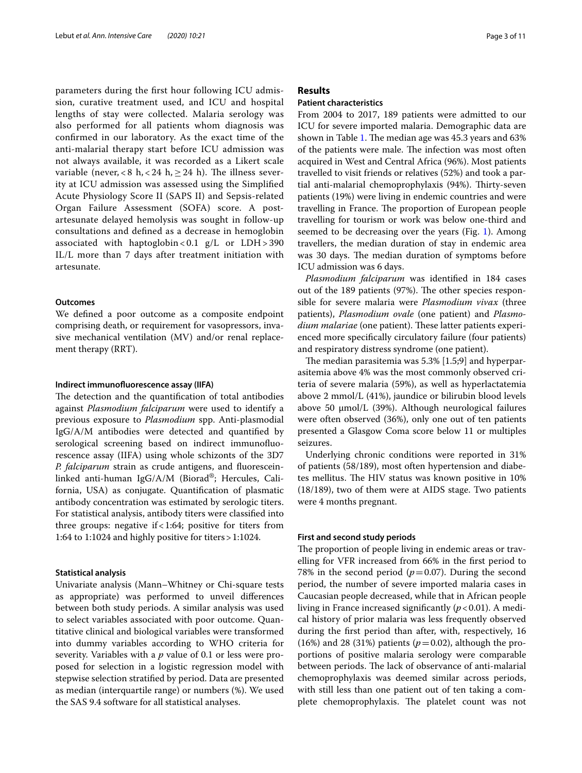parameters during the frst hour following ICU admission, curative treatment used, and ICU and hospital lengths of stay were collected. Malaria serology was also performed for all patients whom diagnosis was confrmed in our laboratory. As the exact time of the anti-malarial therapy start before ICU admission was not always available, it was recorded as a Likert scale variable (never,  $<$  8 h,  $<$  24 h,  $\geq$  24 h). The illness severity at ICU admission was assessed using the Simplifed Acute Physiology Score II (SAPS II) and Sepsis-related Organ Failure Assessment (SOFA) score. A postartesunate delayed hemolysis was sought in follow-up consultations and defned as a decrease in hemoglobin associated with haptoglobin <  $0.1$  g/L or LDH > 390 IL/L more than 7 days after treatment initiation with artesunate.

# **Outcomes**

We defned a poor outcome as a composite endpoint comprising death, or requirement for vasopressors, invasive mechanical ventilation (MV) and/or renal replacement therapy (RRT).

#### **Indirect immunofuorescence assay (IIFA)**

The detection and the quantification of total antibodies against *Plasmodium falciparum* were used to identify a previous exposure to *Plasmodium* spp. Anti-plasmodial IgG/A/M antibodies were detected and quantifed by serological screening based on indirect immunofuorescence assay (IIFA) using whole schizonts of the 3D7 *P. falciparum* strain as crude antigens, and fuoresceinlinked anti-human IgG/A/M (Biorad®; Hercules, California, USA) as conjugate. Quantifcation of plasmatic antibody concentration was estimated by serologic titers. For statistical analysis, antibody titers were classifed into three groups: negative if  $< 1:64$ ; positive for titers from 1:64 to 1:1024 and highly positive for titers>1:1024.

#### **Statistical analysis**

Univariate analysis (Mann–Whitney or Chi-square tests as appropriate) was performed to unveil diferences between both study periods. A similar analysis was used to select variables associated with poor outcome. Quantitative clinical and biological variables were transformed into dummy variables according to WHO criteria for severity. Variables with a *p* value of 0.1 or less were proposed for selection in a logistic regression model with stepwise selection stratifed by period. Data are presented as median (interquartile range) or numbers (%). We used the SAS 9.4 software for all statistical analyses.

# **Results**

## **Patient characteristics**

From 2004 to 2017, 189 patients were admitted to our ICU for severe imported malaria. Demographic data are shown in Table [1](#page-3-0). The median age was 45.3 years and 63% of the patients were male. The infection was most often acquired in West and Central Africa (96%). Most patients travelled to visit friends or relatives (52%) and took a partial anti-malarial chemoprophylaxis (94%). Thirty-seven patients (19%) were living in endemic countries and were travelling in France. The proportion of European people travelling for tourism or work was below one-third and seemed to be decreasing over the years (Fig. [1](#page-4-0)). Among travellers, the median duration of stay in endemic area was 30 days. The median duration of symptoms before ICU admission was 6 days.

*Plasmodium falciparum* was identifed in 184 cases out of the 189 patients (97%). The other species responsible for severe malaria were *Plasmodium vivax* (three patients), *Plasmodium ovale* (one patient) and *Plasmodium malariae* (one patient). These latter patients experienced more specifcally circulatory failure (four patients) and respiratory distress syndrome (one patient).

The median parasitemia was  $5.3\%$  [1.5;9] and hyperparasitemia above 4% was the most commonly observed criteria of severe malaria (59%), as well as hyperlactatemia above 2 mmol/L (41%), jaundice or bilirubin blood levels above 50  $\mu$ mol/L (39%). Although neurological failures were often observed (36%), only one out of ten patients presented a Glasgow Coma score below 11 or multiples seizures.

Underlying chronic conditions were reported in 31% of patients (58/189), most often hypertension and diabetes mellitus. The HIV status was known positive in 10% (18/189), two of them were at AIDS stage. Two patients were 4 months pregnant.

## **First and second study periods**

The proportion of people living in endemic areas or travelling for VFR increased from 66% in the frst period to 78% in the second period  $(p=0.07)$ . During the second period, the number of severe imported malaria cases in Caucasian people decreased, while that in African people living in France increased significantly  $(p<0.01)$ . A medical history of prior malaria was less frequently observed during the frst period than after, with, respectively, 16  $(16%)$  and 28 (31%) patients ( $p=0.02$ ), although the proportions of positive malaria serology were comparable between periods. The lack of observance of anti-malarial chemoprophylaxis was deemed similar across periods, with still less than one patient out of ten taking a complete chemoprophylaxis. The platelet count was not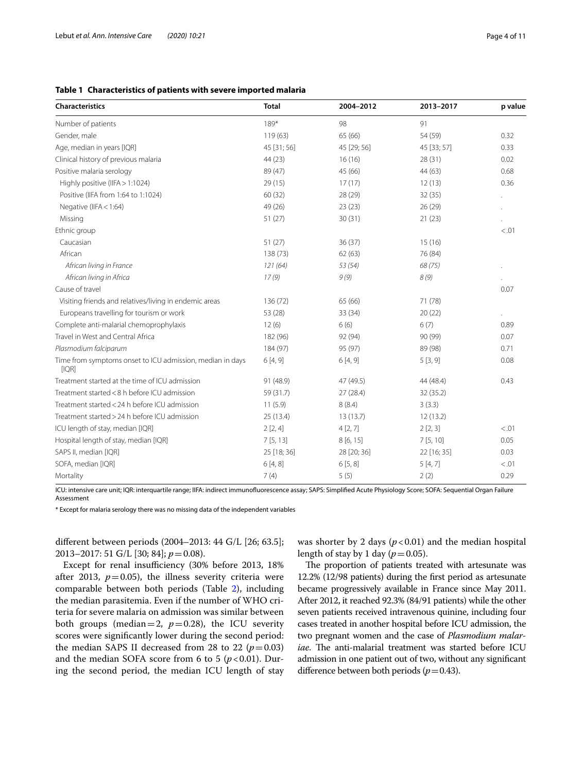# <span id="page-3-0"></span>**Table 1 Characteristics of patients with severe imported malaria**

| Characteristics                                                    | <b>Total</b> | 2004-2012   | 2013-2017   | p value |
|--------------------------------------------------------------------|--------------|-------------|-------------|---------|
| Number of patients                                                 | 189*         | 98          | 91          |         |
| Gender, male                                                       | 119(63)      | 65 (66)     | 54 (59)     | 0.32    |
| Age, median in years [IQR]                                         | 45 [31; 56]  | 45 [29; 56] | 45 [33; 57] | 0.33    |
| Clinical history of previous malaria                               | 44 (23)      | 16(16)      | 28(31)      | 0.02    |
| Positive malaria serology                                          | 89 (47)      | 45 (66)     | 44 (63)     | 0.68    |
| Highly positive (IIFA > 1:1024)                                    | 29(15)       | 17(17)      | 12(13)      | 0.36    |
| Positive (IIFA from 1:64 to 1:1024)                                | 60 (32)      | 28 (29)     | 32(35)      |         |
| Negative (IIFA $<$ 1:64)                                           | 49 (26)      | 23(23)      | 26(29)      |         |
| Missing                                                            | 51(27)       | 30(31)      | 21(23)      |         |
| Ethnic group                                                       |              |             |             | < 0.01  |
| Caucasian                                                          | 51(27)       | 36(37)      | 15(16)      |         |
| African                                                            | 138 (73)     | 62(63)      | 76 (84)     |         |
| African living in France                                           | 121(64)      | 53 (54)     | 68 (75)     |         |
| African living in Africa                                           | 17(9)        | 9(9)        | 8(9)        |         |
| Cause of travel                                                    |              |             |             | 0.07    |
| Visiting friends and relatives/living in endemic areas             | 136 (72)     | 65 (66)     | 71 (78)     |         |
| Europeans travelling for tourism or work                           | 53 (28)      | 33 (34)     | 20(22)      |         |
| Complete anti-malarial chemoprophylaxis                            | 12(6)        | 6(6)        | 6(7)        | 0.89    |
| Travel in West and Central Africa                                  | 182 (96)     | 92 (94)     | 90 (99)     | 0.07    |
| Plasmodium falciparum                                              | 184 (97)     | 95 (97)     | 89 (98)     | 0.71    |
| Time from symptoms onset to ICU admission, median in days<br>[IQR] | 6[4, 9]      | 6[4, 9]     | 5[3, 9]     | 0.08    |
| Treatment started at the time of ICU admission                     | 91 (48.9)    | 47 (49.5)   | 44 (48.4)   | 0.43    |
| Treatment started < 8 h before ICU admission                       | 59 (31.7)    | 27 (28.4)   | 32 (35.2)   |         |
| Treatment started < 24 h before ICU admission                      | 11(5.9)      | 8(8.4)      | 3(3.3)      |         |
| Treatment started > 24 h before ICU admission                      | 25 (13.4)    | 13(13.7)    | 12(13.2)    |         |
| ICU length of stay, median [IQR]                                   | 2[2, 4]      | 4[2, 7]     | 2[2,3]      | < 0.01  |
| Hospital length of stay, median [IQR]                              | 7[5, 13]     | 8 [6, 15]   | 7[5, 10]    | 0.05    |
| SAPS II, median [IQR]                                              | 25 [18; 36]  | 28 [20; 36] | 22 [16; 35] | 0.03    |
| SOFA, median [IQR]                                                 | 6[4, 8]      | 6[5, 8]     | 5[4, 7]     | < 0.01  |
| Mortality                                                          | 7(4)         | 5(5)        | 2(2)        | 0.29    |

ICU: intensive care unit; IQR: interquartile range; IIFA: indirect immunofuorescence assay; SAPS: Simplifed Acute Physiology Score; SOFA: Sequential Organ Failure Assessment

\* Except for malaria serology there was no missing data of the independent variables

diferent between periods (2004–2013: 44 G/L [26; 63.5]; 2013–2017: 51 G/L [30; 84]; *p*=0.08).

Except for renal insufficiency (30% before 2013, 18% after 2013,  $p=0.05$ ), the illness severity criteria were comparable between both periods (Table [2](#page-4-1)), including the median parasitemia. Even if the number of WHO criteria for severe malaria on admission was similar between both groups (median=2,  $p=0.28$ ), the ICU severity scores were signifcantly lower during the second period: the median SAPS II decreased from 28 to 22  $(p=0.03)$ and the median SOFA score from 6 to 5  $(p<0.01)$ . During the second period, the median ICU length of stay was shorter by 2 days  $(p<0.01)$  and the median hospital length of stay by 1 day  $(p=0.05)$ .

The proportion of patients treated with artesunate was 12.2% (12/98 patients) during the frst period as artesunate became progressively available in France since May 2011. After 2012, it reached 92.3% (84/91 patients) while the other seven patients received intravenous quinine, including four cases treated in another hospital before ICU admission, the two pregnant women and the case of *Plasmodium malar*iae. The anti-malarial treatment was started before ICU admission in one patient out of two, without any signifcant difference between both periods ( $p$ =0.43).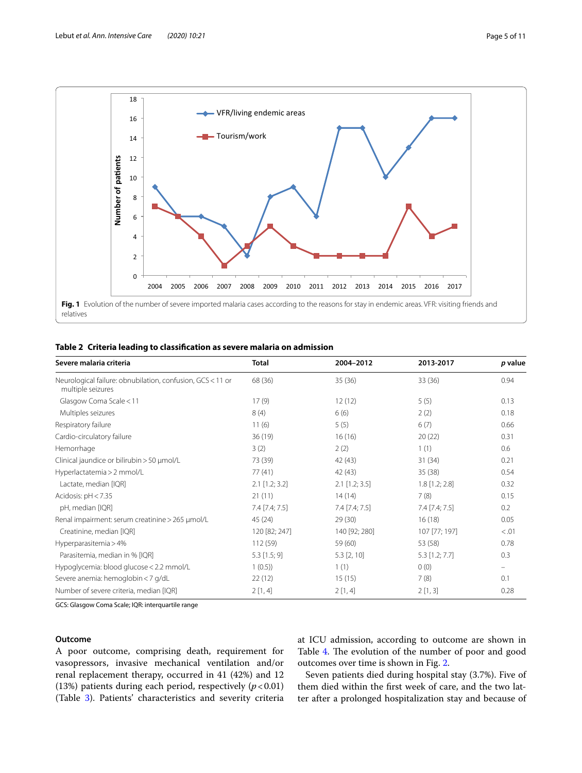

<span id="page-4-1"></span><span id="page-4-0"></span>

|  |  | Table 2 Criteria leading to classification as severe malaria on admission |  |  |
|--|--|---------------------------------------------------------------------------|--|--|
|  |  |                                                                           |  |  |

| Severe malaria criteria                                                         | <b>Total</b>     | 2004-2012        | 2013-2017        | p value |
|---------------------------------------------------------------------------------|------------------|------------------|------------------|---------|
| Neurological failure: obnubilation, confusion, GCS < 11 or<br>multiple seizures | 68 (36)          | 35(36)           | 33 (36)          | 0.94    |
| Glasgow Coma Scale < 11                                                         | 17(9)            | 12(12)           | 5(5)             | 0.13    |
| Multiples seizures                                                              | 8(4)             | 6(6)             | 2(2)             | 0.18    |
| Respiratory failure                                                             | 11(6)            | 5(5)             | 6(7)             | 0.66    |
| Cardio-circulatory failure                                                      | 36(19)           | 16(16)           | 20(22)           | 0.31    |
| Hemorrhage                                                                      | 3(2)             | 2(2)             | 1(1)             | 0.6     |
| Clinical jaundice or bilirubin > 50 µmol/L                                      | 73 (39)          | 42 (43)          | 31(34)           | 0.21    |
| Hyperlactatemia > 2 mmol/L                                                      | 77(41)           | 42 (43)          | 35 (38)          | 0.54    |
| Lactate, median [IQR]                                                           | $2.1$ [1.2; 3.2] | $2.1$ [1.2; 3.5] | $1.8$ [1.2; 2.8] | 0.32    |
| Acidosis: $pH < 7.35$                                                           | 21(11)           | 14(14)           | 7(8)             | 0.15    |
| pH, median [IQR]                                                                | 7.4 [7.4; 7.5]   | $7.4$ [7.4; 7.5] | $7.4$ [7.4; 7.5] | 0.2     |
| Renal impairment: serum creatinine > 265 µmol/L                                 | 45 (24)          | 29(30)           | 16(18)           | 0.05    |
| Creatinine, median [IQR]                                                        | 120 [82; 247]    | 140 [92; 280]    | 107 [77; 197]    | < 0.01  |
| Hyperparasitemia > 4%                                                           | 112 (59)         | 59 (60)          | 53 (58)          | 0.78    |
| Parasitemia, median in % [IQR]                                                  | $5.3$ [1.5; 9]   | $5.3$ [2, 10]    | $5.3$ [1.2; 7.7] | 0.3     |
| Hypoglycemia: blood glucose < 2.2 mmol/L                                        | 1(0.5)           | 1(1)             | 0(0)             |         |
| Severe anemia: hemoglobin < 7 g/dL                                              | 22(12)           | 15(15)           | 7(8)             | 0.1     |
| Number of severe criteria, median [IQR]                                         | 2[1, 4]          | 2[1, 4]          | 2[1,3]           | 0.28    |

GCS: Glasgow Coma Scale; IQR: interquartile range

# **Outcome**

A poor outcome, comprising death, requirement for vasopressors, invasive mechanical ventilation and/or renal replacement therapy, occurred in 41 (42%) and 12 (13%) patients during each period, respectively (*p*<0.01) (Table [3\)](#page-5-0). Patients' characteristics and severity criteria at ICU admission, according to outcome are shown in Table [4](#page-5-1). The evolution of the number of poor and good outcomes over time is shown in Fig. [2](#page-6-0).

Seven patients died during hospital stay (3.7%). Five of them died within the frst week of care, and the two latter after a prolonged hospitalization stay and because of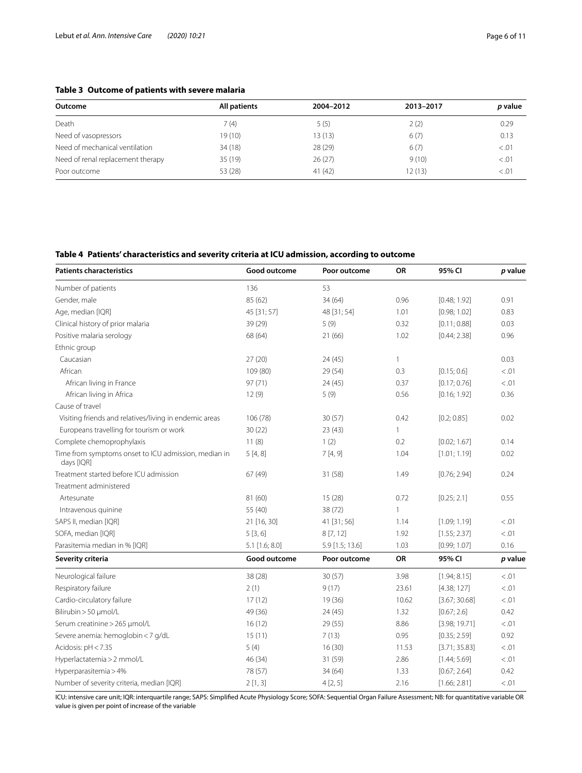# <span id="page-5-0"></span>**Table 3 Outcome of patients with severe malaria**

| Outcome                           | All patients | 2004-2012 | 2013-2017 | p value |  |
|-----------------------------------|--------------|-----------|-----------|---------|--|
|                                   |              |           |           |         |  |
| Death                             | 7(4)         | 5(5)      | 2(2)      | 0.29    |  |
| Need of vasopressors              | 19 (10)      | 13(13)    | 6(7)      | 0.13    |  |
| Need of mechanical ventilation    | 34 (18)      | 28 (29)   | 6(7)      | < 0.01  |  |
| Need of renal replacement therapy | 35(19)       | 26(27)    | 9(10)     | < 0.01  |  |
| Poor outcome                      | 53 (28)      | 41(42)    | 12(13)    | < 0.01  |  |

# <span id="page-5-1"></span>**Table 4 Patients' characteristics and severity criteria at ICU admission, according to outcome**

| <b>Patients characteristics</b>                                    | Good outcome     | Poor outcome    | <b>OR</b> | 95% CI        | p value |
|--------------------------------------------------------------------|------------------|-----------------|-----------|---------------|---------|
| Number of patients                                                 | 136              | 53              |           |               |         |
| Gender, male                                                       | 85 (62)          | 34 (64)         | 0.96      | [0.48; 1.92]  | 0.91    |
| Age, median [IQR]                                                  | 45 [31; 57]      | 48 [31; 54]     | 1.01      | [0.98; 1.02]  | 0.83    |
| Clinical history of prior malaria                                  | 39 (29)          | 5(9)            | 0.32      | [0.11; 0.88]  | 0.03    |
| Positive malaria serology                                          | 68 (64)          | 21(66)          | 1.02      | [0.44; 2.38]  | 0.96    |
| Ethnic group                                                       |                  |                 |           |               |         |
| Caucasian                                                          | 27(20)           | 24(45)          | 1         |               | 0.03    |
| African                                                            | 109 (80)         | 29 (54)         | 0.3       | [0.15; 0.6]   | < 0.01  |
| African living in France                                           | 97(71)           | 24(45)          | 0.37      | [0.17; 0.76]  | < .01   |
| African living in Africa                                           | 12(9)            | 5(9)            | 0.56      | [0.16; 1.92]  | 0.36    |
| Cause of travel                                                    |                  |                 |           |               |         |
| Visiting friends and relatives/living in endemic areas             | 106 (78)         | 30(57)          | 0.42      | [0.2; 0.85]   | 0.02    |
| Europeans travelling for tourism or work                           | 30(22)           | 23(43)          | 1         |               |         |
| Complete chemoprophylaxis                                          | 11(8)            | 1(2)            | 0.2       | [0.02; 1.67]  | 0.14    |
| Time from symptoms onset to ICU admission, median in<br>days [IQR] | 5[4,8]           | 7[4, 9]         | 1.04      | [1.01; 1.19]  | 0.02    |
| Treatment started before ICU admission                             | 67 (49)          | 31 (58)         | 1.49      | [0.76; 2.94]  | 0.24    |
| Treatment administered                                             |                  |                 |           |               |         |
| Artesunate                                                         | 81 (60)          | 15(28)          | 0.72      | [0.25; 2.1]   | 0.55    |
| Intravenous quinine                                                | 55 (40)          | 38 (72)         | 1         |               |         |
| SAPS II, median [IQR]                                              | 21 [16, 30]      | 41 [31; 56]     | 1.14      | [1.09; 1.19]  | < 0.01  |
| SOFA, median [IQR]                                                 | 5[3,6]           | 8[7, 12]        | 1.92      | [1.55; 2.37]  | < 0.01  |
| Parasitemia median in % [IQR]                                      | $5.1$ [1.6; 8.0] | 5.9 [1.5; 13.6] | 1.03      | [0.99; 1.07]  | 0.16    |
| Severity criteria                                                  | Good outcome     | Poor outcome    | OR        | 95% CI        | p value |
| Neurological failure                                               | 38 (28)          | 30 (57)         | 3.98      | [1.94; 8.15]  | < 0.01  |
| Respiratory failure                                                | 2(1)             | 9(17)           | 23.61     | [4.38; 127]   | < 0.01  |
| Cardio-circulatory failure                                         | 17(12)           | 19 (36)         | 10.62     | [3.67; 30.68] | < 0.01  |
| Bilirubin > 50 µmol/L                                              | 49 (36)          | 24 (45)         | 1.32      | [0.67; 2.6]   | 0.42    |
| Serum creatinine > 265 µmol/L                                      | 16(12)           | 29 (55)         | 8.86      | [3.98; 19.71] | < .01   |
| Severe anemia: hemoglobin < 7 g/dL                                 | 15(11)           | 7(13)           | 0.95      | [0.35; 2.59]  | 0.92    |
| Acidosis: pH < 7.35                                                | 5(4)             | 16(30)          | 11.53     | [3.71; 35.83] | < 0.01  |
| Hyperlactatemia > 2 mmol/L                                         | 46 (34)          | 31 (59)         | 2.86      | [1.44; 5.69]  | < 0.01  |
| Hyperparasitemia > 4%                                              | 78 (57)          | 34 (64)         | 1.33      | [0.67; 2.64]  | 0.42    |
| Number of severity criteria, median [IQR]                          | 2[1,3]           | 4[2, 5]         | 2.16      | [1.66; 2.81]  | < 0.01  |

ICU: intensive care unit; IQR: interquartile range; SAPS: Simplifed Acute Physiology Score; SOFA: Sequential Organ Failure Assessment; NB: for quantitative variable OR value is given per point of increase of the variable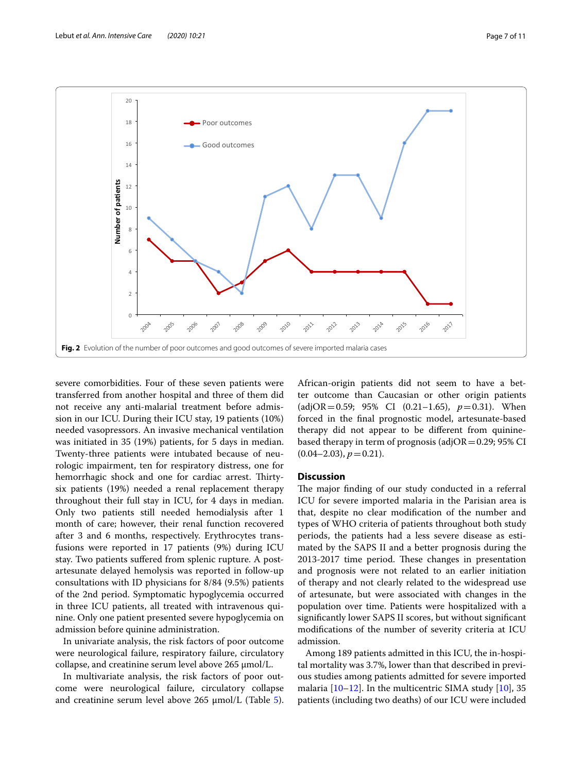



<span id="page-6-0"></span>severe comorbidities. Four of these seven patients were transferred from another hospital and three of them did not receive any anti-malarial treatment before admission in our ICU. During their ICU stay, 19 patients (10%) needed vasopressors. An invasive mechanical ventilation was initiated in 35 (19%) patients, for 5 days in median. Twenty-three patients were intubated because of neurologic impairment, ten for respiratory distress, one for hemorrhagic shock and one for cardiac arrest. Thirtysix patients (19%) needed a renal replacement therapy throughout their full stay in ICU, for 4 days in median. Only two patients still needed hemodialysis after 1 month of care; however, their renal function recovered after 3 and 6 months, respectively. Erythrocytes transfusions were reported in 17 patients (9%) during ICU stay. Two patients sufered from splenic rupture. A postartesunate delayed hemolysis was reported in follow-up consultations with ID physicians for 8/84 (9.5%) patients of the 2nd period. Symptomatic hypoglycemia occurred in three ICU patients, all treated with intravenous quinine. Only one patient presented severe hypoglycemia on admission before quinine administration.

In univariate analysis, the risk factors of poor outcome were neurological failure, respiratory failure, circulatory collapse, and creatinine serum level above 265 µmol/L.

In multivariate analysis, the risk factors of poor outcome were neurological failure, circulatory collapse and creatinine serum level above  $265 \mu$  $265 \mu$  $265 \mu$ mol/L (Table 5).

African-origin patients did not seem to have a better outcome than Caucasian or other origin patients (adjOR=0.59; 95% CI  $(0.21-1.65)$ ,  $p=0.31$ ). When forced in the fnal prognostic model, artesunate-based therapy did not appear to be diferent from quininebased therapy in term of prognosis (adjOR=0.29; 95% CI  $(0.04-2.03), p=0.21$ .

## **Discussion**

The major finding of our study conducted in a referral ICU for severe imported malaria in the Parisian area is that, despite no clear modifcation of the number and types of WHO criteria of patients throughout both study periods, the patients had a less severe disease as estimated by the SAPS II and a better prognosis during the 2013-2017 time period. These changes in presentation and prognosis were not related to an earlier initiation of therapy and not clearly related to the widespread use of artesunate, but were associated with changes in the population over time. Patients were hospitalized with a signifcantly lower SAPS II scores, but without signifcant modifcations of the number of severity criteria at ICU admission.

Among 189 patients admitted in this ICU, the in-hospital mortality was 3.7%, lower than that described in previous studies among patients admitted for severe imported malaria  $[10-12]$  $[10-12]$ . In the multicentric SIMA study  $[10]$  $[10]$ , 35 patients (including two deaths) of our ICU were included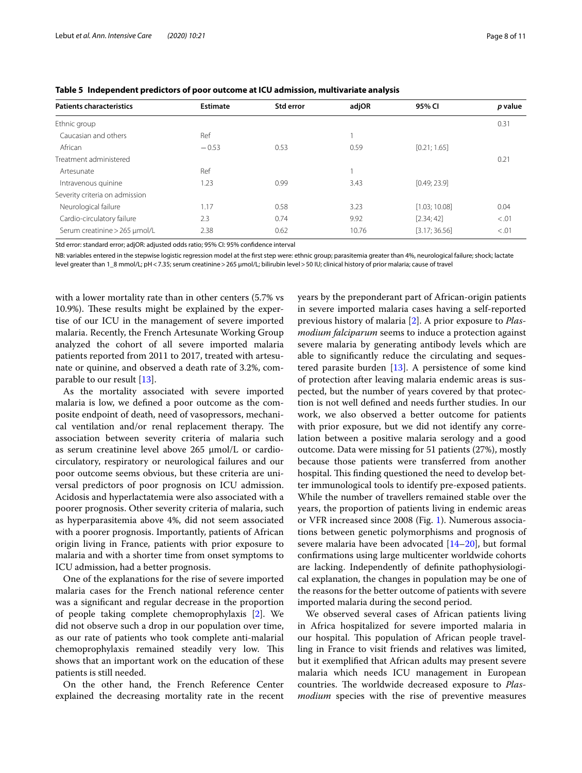| <b>Patients characteristics</b> | <b>Estimate</b> | Std error | adjOR | 95% CI        | p value |
|---------------------------------|-----------------|-----------|-------|---------------|---------|
| Ethnic group                    |                 |           |       |               | 0.31    |
| Caucasian and others            | Ref             |           |       |               |         |
| African                         | $-0.53$         | 0.53      | 0.59  | [0.21; 1.65]  |         |
| Treatment administered          |                 |           |       |               | 0.21    |
| Artesunate                      | Ref             |           |       |               |         |
| Intravenous quinine             | 1.23            | 0.99      | 3.43  | [0.49; 23.9]  |         |
| Severity criteria on admission  |                 |           |       |               |         |
| Neurological failure            | 1.17            | 0.58      | 3.23  | [1.03; 10.08] | 0.04    |
| Cardio-circulatory failure      | 2.3             | 0.74      | 9.92  | [2.34; 42]    | < 0.01  |
| Serum creatinine > 265 µmol/L   | 2.38            | 0.62      | 10.76 | [3.17; 36.56] | < 0.01  |

<span id="page-7-0"></span>**Table 5 Independent predictors of poor outcome at ICU admission, multivariate analysis**

Std error: standard error; adjOR: adjusted odds ratio; 95% CI: 95% confdence interval

NB: variables entered in the stepwise logistic regression model at the frst step were: ethnic group; parasitemia greater than 4%, neurological failure; shock; lactate level greater than 1\_8 mmol/L; pH < 7.35; serum creatinine > 265 µmol/L; bilirubin level > 50 IU; clinical history of prior malaria; cause of travel

with a lower mortality rate than in other centers (5.7% vs 10.9%). These results might be explained by the expertise of our ICU in the management of severe imported malaria. Recently, the French Artesunate Working Group analyzed the cohort of all severe imported malaria patients reported from 2011 to 2017, treated with artesunate or quinine, and observed a death rate of 3.2%, comparable to our result [[13\]](#page-9-10).

As the mortality associated with severe imported malaria is low, we defned a poor outcome as the composite endpoint of death, need of vasopressors, mechanical ventilation and/or renal replacement therapy. The association between severity criteria of malaria such as serum creatinine level above  $265 \mu$ mol/L or cardiocirculatory, respiratory or neurological failures and our poor outcome seems obvious, but these criteria are universal predictors of poor prognosis on ICU admission. Acidosis and hyperlactatemia were also associated with a poorer prognosis. Other severity criteria of malaria, such as hyperparasitemia above 4%, did not seem associated with a poorer prognosis. Importantly, patients of African origin living in France, patients with prior exposure to malaria and with a shorter time from onset symptoms to ICU admission, had a better prognosis.

One of the explanations for the rise of severe imported malaria cases for the French national reference center was a signifcant and regular decrease in the proportion of people taking complete chemoprophylaxis [\[2\]](#page-9-1). We did not observe such a drop in our population over time, as our rate of patients who took complete anti-malarial chemoprophylaxis remained steadily very low. This shows that an important work on the education of these patients is still needed.

On the other hand, the French Reference Center explained the decreasing mortality rate in the recent years by the preponderant part of African-origin patients in severe imported malaria cases having a self-reported previous history of malaria [\[2](#page-9-1)]. A prior exposure to *Plasmodium falciparum* seems to induce a protection against severe malaria by generating antibody levels which are able to signifcantly reduce the circulating and sequestered parasite burden [[13](#page-9-10)]. A persistence of some kind of protection after leaving malaria endemic areas is suspected, but the number of years covered by that protection is not well defned and needs further studies. In our work, we also observed a better outcome for patients with prior exposure, but we did not identify any correlation between a positive malaria serology and a good outcome. Data were missing for 51 patients (27%), mostly because those patients were transferred from another hospital. This finding questioned the need to develop better immunological tools to identify pre-exposed patients. While the number of travellers remained stable over the years, the proportion of patients living in endemic areas or VFR increased since 2008 (Fig. [1](#page-4-0)). Numerous associations between genetic polymorphisms and prognosis of severe malaria have been advocated [\[14](#page-9-11)[–20\]](#page-10-0), but formal confrmations using large multicenter worldwide cohorts are lacking. Independently of defnite pathophysiological explanation, the changes in population may be one of the reasons for the better outcome of patients with severe imported malaria during the second period.

We observed several cases of African patients living in Africa hospitalized for severe imported malaria in our hospital. This population of African people travelling in France to visit friends and relatives was limited, but it exemplifed that African adults may present severe malaria which needs ICU management in European countries. The worldwide decreased exposure to *Plasmodium* species with the rise of preventive measures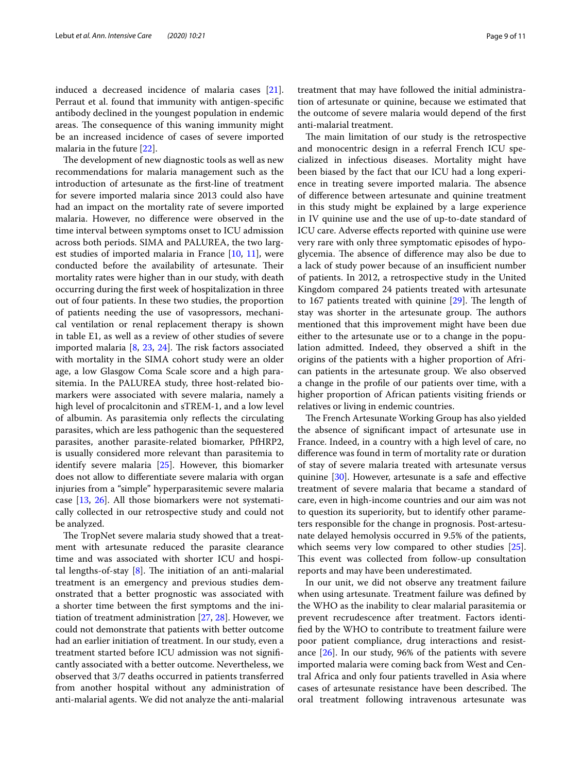induced a decreased incidence of malaria cases [\[21](#page-10-1)]. Perraut et al. found that immunity with antigen-specifc antibody declined in the youngest population in endemic areas. The consequence of this waning immunity might be an increased incidence of cases of severe imported malaria in the future [[22\]](#page-10-2).

The development of new diagnostic tools as well as new recommendations for malaria management such as the introduction of artesunate as the frst-line of treatment for severe imported malaria since 2013 could also have had an impact on the mortality rate of severe imported malaria. However, no diference were observed in the time interval between symptoms onset to ICU admission across both periods. SIMA and PALUREA, the two largest studies of imported malaria in France [[10,](#page-9-8) [11](#page-9-12)], were conducted before the availability of artesunate. Their mortality rates were higher than in our study, with death occurring during the frst week of hospitalization in three out of four patients. In these two studies, the proportion of patients needing the use of vasopressors, mechanical ventilation or renal replacement therapy is shown in table E1, as well as a review of other studies of severe imported malaria  $[8, 23, 24]$  $[8, 23, 24]$  $[8, 23, 24]$  $[8, 23, 24]$  $[8, 23, 24]$  $[8, 23, 24]$  $[8, 23, 24]$ . The risk factors associated with mortality in the SIMA cohort study were an older age, a low Glasgow Coma Scale score and a high parasitemia. In the PALUREA study, three host-related biomarkers were associated with severe malaria, namely a high level of procalcitonin and sTREM-1, and a low level of albumin. As parasitemia only refects the circulating parasites, which are less pathogenic than the sequestered parasites, another parasite-related biomarker, PfHRP2, is usually considered more relevant than parasitemia to identify severe malaria [[25](#page-10-5)]. However, this biomarker does not allow to diferentiate severe malaria with organ injuries from a "simple" hyperparasitemic severe malaria case [\[13,](#page-9-10) [26\]](#page-10-6). All those biomarkers were not systematically collected in our retrospective study and could not be analyzed.

The TropNet severe malaria study showed that a treatment with artesunate reduced the parasite clearance time and was associated with shorter ICU and hospital lengths-of-stay  $[8]$  $[8]$ . The initiation of an anti-malarial treatment is an emergency and previous studies demonstrated that a better prognostic was associated with a shorter time between the frst symptoms and the initiation of treatment administration [[27,](#page-10-7) [28](#page-10-8)]. However, we could not demonstrate that patients with better outcome had an earlier initiation of treatment. In our study, even a treatment started before ICU admission was not signifcantly associated with a better outcome. Nevertheless, we observed that 3/7 deaths occurred in patients transferred from another hospital without any administration of anti-malarial agents. We did not analyze the anti-malarial treatment that may have followed the initial administration of artesunate or quinine, because we estimated that the outcome of severe malaria would depend of the frst anti-malarial treatment.

The main limitation of our study is the retrospective and monocentric design in a referral French ICU specialized in infectious diseases. Mortality might have been biased by the fact that our ICU had a long experience in treating severe imported malaria. The absence of diference between artesunate and quinine treatment in this study might be explained by a large experience in IV quinine use and the use of up-to-date standard of ICU care. Adverse effects reported with quinine use were very rare with only three symptomatic episodes of hypoglycemia. The absence of difference may also be due to a lack of study power because of an insufficient number of patients. In 2012, a retrospective study in the United Kingdom compared 24 patients treated with artesunate to 167 patients treated with quinine  $[29]$  $[29]$ . The length of stay was shorter in the artesunate group. The authors mentioned that this improvement might have been due either to the artesunate use or to a change in the population admitted. Indeed, they observed a shift in the origins of the patients with a higher proportion of African patients in the artesunate group. We also observed a change in the profle of our patients over time, with a higher proportion of African patients visiting friends or relatives or living in endemic countries.

The French Artesunate Working Group has also yielded the absence of signifcant impact of artesunate use in France. Indeed, in a country with a high level of care, no diference was found in term of mortality rate or duration of stay of severe malaria treated with artesunate versus quinine [\[30](#page-10-10)]. However, artesunate is a safe and effective treatment of severe malaria that became a standard of care, even in high-income countries and our aim was not to question its superiority, but to identify other parameters responsible for the change in prognosis. Post-artesunate delayed hemolysis occurred in 9.5% of the patients, which seems very low compared to other studies [\[25](#page-10-5)]. This event was collected from follow-up consultation reports and may have been underestimated.

In our unit, we did not observe any treatment failure when using artesunate. Treatment failure was defned by the WHO as the inability to clear malarial parasitemia or prevent recrudescence after treatment. Factors identifed by the WHO to contribute to treatment failure were poor patient compliance, drug interactions and resistance [\[26](#page-10-6)]. In our study, 96% of the patients with severe imported malaria were coming back from West and Central Africa and only four patients travelled in Asia where cases of artesunate resistance have been described. The oral treatment following intravenous artesunate was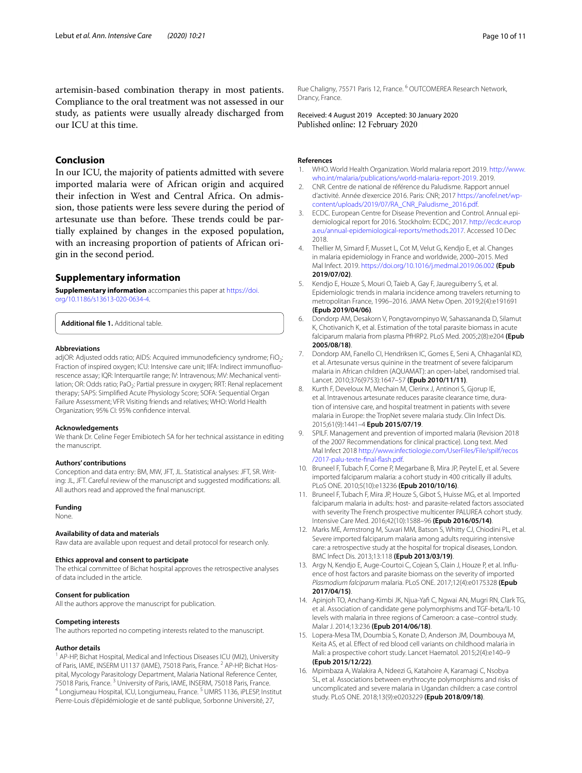artemisin-based combination therapy in most patients. Compliance to the oral treatment was not assessed in our study, as patients were usually already discharged from our ICU at this time.

# **Conclusion**

In our ICU, the majority of patients admitted with severe imported malaria were of African origin and acquired their infection in West and Central Africa. On admission, those patients were less severe during the period of artesunate use than before. These trends could be partially explained by changes in the exposed population, with an increasing proportion of patients of African origin in the second period.

# **Supplementary information**

**Supplementary information** accompanies this paper at [https://doi.](https://doi.org/10.1186/s13613-020-0634-4) [org/10.1186/s13613-020-0634-4.](https://doi.org/10.1186/s13613-020-0634-4)

**Additional fle 1.** Additional table.

#### **Abbreviations**

adjOR: Adjusted odds ratio; AIDS: Acquired immunodeficiency syndrome; FiO<sub>2</sub>: Fraction of inspired oxygen; ICU: Intensive care unit; IIFA: Indirect immunofluorescence assay; IQR: Interquartile range; IV: Intravenous; MV: Mechanical ventilation; OR: Odds ratio; PaO<sub>2</sub>: Partial pressure in oxygen; RRT: Renal replacement therapy; SAPS: Simplifed Acute Physiology Score; SOFA: Sequential Organ Failure Assessment; VFR: Visiting friends and relatives; WHO: World Health Organization; 95% CI: 95% confdence interval.

#### **Acknowledgements**

We thank Dr. Celine Feger Emibiotech SA for her technical assistance in editing the manuscript.

#### **Authors' contributions**

Conception and data entry: BM, MW, JFT, JL. Statistical analyses: JFT, SR. Writing: JL, JFT. Careful review of the manuscript and suggested modifcations: all. All authors read and approved the fnal manuscript.

#### **Funding**

None.

#### **Availability of data and materials**

Raw data are available upon request and detail protocol for research only.

#### **Ethics approval and consent to participate**

The ethical committee of Bichat hospital approves the retrospective analyses of data included in the article.

#### **Consent for publication**

All the authors approve the manuscript for publication.

#### **Competing interests**

The authors reported no competing interests related to the manuscript.

#### **Author details**

<sup>1</sup> AP-HP, Bichat Hospital, Medical and Infectious Diseases ICU (MI2), University of Paris, IAME, INSERM U1137 (IAME), 75018 Paris, France.<sup>2</sup> AP-HP, Bichat Hospital, Mycology Parasitology Department, Malaria National Reference Center, 75018 Paris, France. <sup>3</sup> University of Paris, IAME, INSERM, 75018 Paris, France.<br><sup>4</sup> Longjumeau Hospital, ICU, Longjumeau, France. <sup>5</sup> UMRS 1136, iPLESP, Institut Pierre-Louis d'épidémiologie et de santé publique, Sorbonne Université, 27,

Rue Chaligny, 75571 Paris 12, France. 6 OUTCOMEREA Research Network, Drancy, France.

Received: 4 August 2019 Accepted: 30 January 2020 Published online: 12 February 2020

#### **References**

- <span id="page-9-0"></span>1. WHO. World Health Organization. World malaria report 2019. [http://www.](http://www.who.int/malaria/publications/world-malaria-report-2019) [who.int/malaria/publications/world-malaria-report-2019.](http://www.who.int/malaria/publications/world-malaria-report-2019) 2019.
- <span id="page-9-1"></span>2. CNR. Centre de national de référence du Paludisme. Rapport annuel d'activité. Année d'exercice 2016. Paris: CNR; 2017 [https://anofel.net/wp](https://anofel.net/wp-content/uploads/2019/07/RA_CNR_Paludisme_2016.pdf)[content/uploads/2019/07/RA\\_CNR\\_Paludisme\\_2016.pdf.](https://anofel.net/wp-content/uploads/2019/07/RA_CNR_Paludisme_2016.pdf)
- 3. ECDC. European Centre for Disease Prevention and Control. Annual epidemiological report for 2016. Stockholm: ECDC; 2017. [http://ecdc.europ](http://ecdc.europa.eu/annual-epidemiological-reports/methods.2017) [a.eu/annual-epidemiological-reports/methods.2017.](http://ecdc.europa.eu/annual-epidemiological-reports/methods.2017) Accessed 10 Dec 2018.
- <span id="page-9-2"></span>4. Thellier M, Simard F, Musset L, Cot M, Velut G, Kendjo E, et al. Changes in malaria epidemiology in France and worldwide, 2000–2015. Med Mal Infect. 2019. <https://doi.org/10.1016/j.medmal.2019.06.002> **(Epub 2019/07/02)**.
- <span id="page-9-3"></span>5. Kendjo E, Houze S, Mouri O, Taieb A, Gay F, Jaureguiberry S, et al. Epidemiologic trends in malaria incidence among travelers returning to metropolitan France, 1996–2016. JAMA Netw Open. 2019;2(4):e191691 **(Epub 2019/04/06)**.
- <span id="page-9-4"></span>6. Dondorp AM, Desakorn V, Pongtavornpinyo W, Sahassananda D, Silamut K, Chotivanich K, et al. Estimation of the total parasite biomass in acute falciparum malaria from plasma PfHRP2. PLoS Med. 2005;2(8):e204 **(Epub 2005/08/18)**.
- <span id="page-9-5"></span>7. Dondorp AM, Fanello CI, Hendriksen IC, Gomes E, Seni A, Chhaganlal KD, et al. Artesunate versus quinine in the treatment of severe falciparum malaria in African children (AQUAMAT): an open-label, randomised trial. Lancet. 2010;376(9753):1647–57 **(Epub 2010/11/11)**.
- <span id="page-9-6"></span>Kurth F, Develoux M, Mechain M, Clerinx J, Antinori S, Gjorup IE, et al. Intravenous artesunate reduces parasite clearance time, duration of intensive care, and hospital treatment in patients with severe malaria in Europe: the TropNet severe malaria study. Clin Infect Dis. 2015;61(9):1441–4 **Epub 2015/07/19**.
- <span id="page-9-7"></span>9. SPILF. Management and prevention of imported malaria (Revision 2018 of the 2007 Recommendations for clinical practice). Long text. Med Mal Infect 2018 [http://www.infectiologie.com/UserFiles/File/spilf/recos](http://www.infectiologie.com/UserFiles/File/spilf/recos/2017-palu-texte-final-flash.pdf) [/2017-palu-texte-fnal-fash.pdf](http://www.infectiologie.com/UserFiles/File/spilf/recos/2017-palu-texte-final-flash.pdf).
- <span id="page-9-8"></span>10. Bruneel F, Tubach F, Corne P, Megarbane B, Mira JP, Peytel E, et al. Severe imported falciparum malaria: a cohort study in 400 critically ill adults. PLoS ONE. 2010;5(10):e13236 **(Epub 2010/10/16)**.
- <span id="page-9-12"></span>11. Bruneel F, Tubach F, Mira JP, Houze S, Gibot S, Huisse MG, et al. Imported falciparum malaria in adults: host- and parasite-related factors associated with severity The French prospective multicenter PALUREA cohort study. Intensive Care Med. 2016;42(10):1588–96 **(Epub 2016/05/14)**.
- <span id="page-9-9"></span>12. Marks ME, Armstrong M, Suvari MM, Batson S, Whitty CJ, Chiodini PL, et al. Severe imported falciparum malaria among adults requiring intensive care: a retrospective study at the hospital for tropical diseases, London. BMC Infect Dis. 2013;13:118 **(Epub 2013/03/19)**.
- <span id="page-9-10"></span>13. Argy N, Kendjo E, Auge-Courtoi C, Cojean S, Clain J, Houze P, et al. Influence of host factors and parasite biomass on the severity of imported *Plasmodium falciparum* malaria. PLoS ONE. 2017;12(4):e0175328 **(Epub 2017/04/15)**.
- <span id="page-9-11"></span>14. Apinjoh TO, Anchang-Kimbi JK, Njua-Yaf C, Ngwai AN, Mugri RN, Clark TG, et al. Association of candidate gene polymorphisms and TGF-beta/IL-10 levels with malaria in three regions of Cameroon: a case–control study. Malar J. 2014;13:236 **(Epub 2014/06/18)**.
- 15. Lopera-Mesa TM, Doumbia S, Konate D, Anderson JM, Doumbouya M, Keita AS, et al. Effect of red blood cell variants on childhood malaria in Mali: a prospective cohort study. Lancet Haematol. 2015;2(4):e140–9 **(Epub 2015/12/22)**.
- 16. Mpimbaza A, Walakira A, Ndeezi G, Katahoire A, Karamagi C, Nsobya SL, et al. Associations between erythrocyte polymorphisms and risks of uncomplicated and severe malaria in Ugandan children: a case control study. PLoS ONE. 2018;13(9):e0203229 **(Epub 2018/09/18)**.